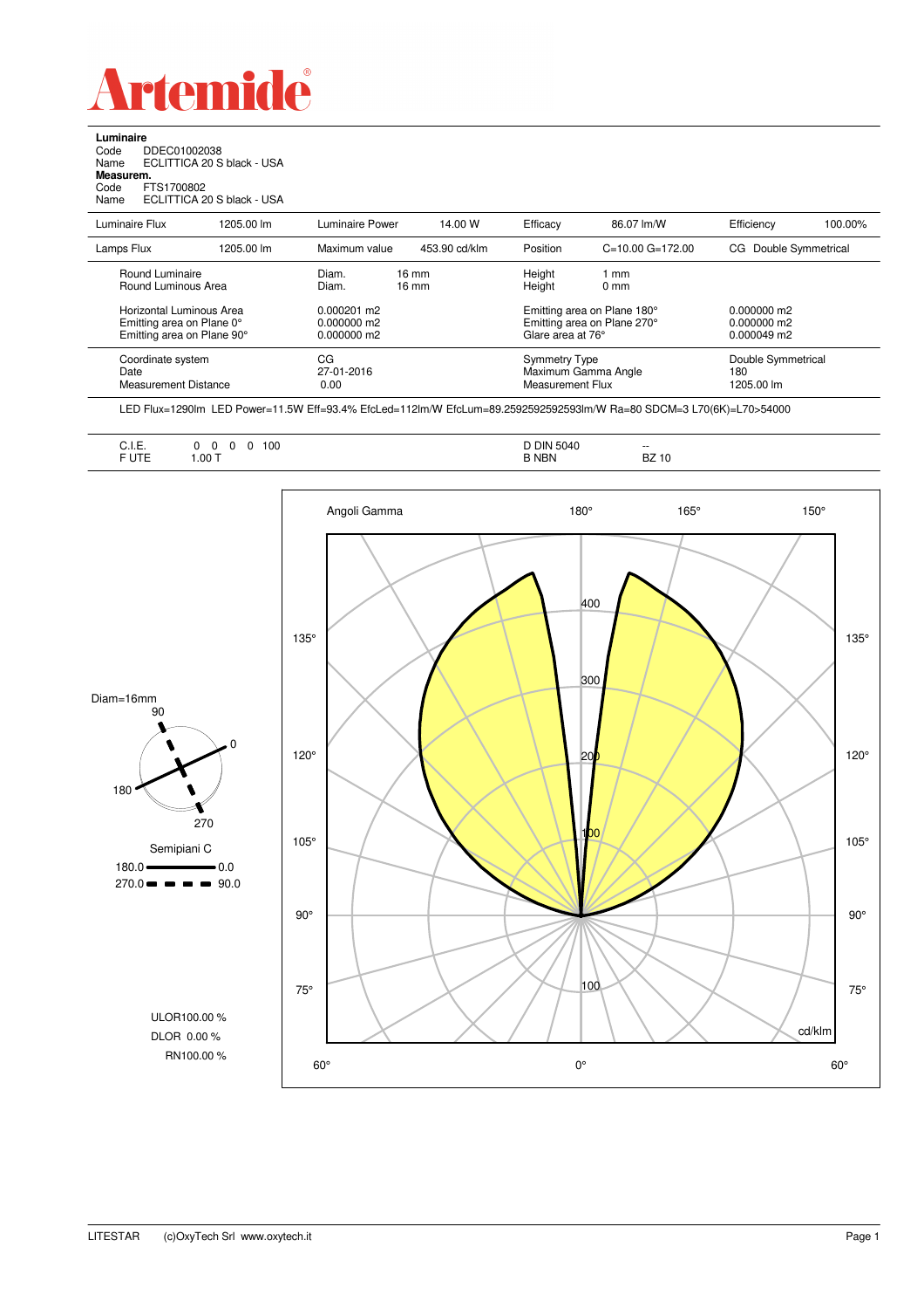

**Luminaire**

| Code<br>Name<br>Measurem.<br>Code<br>Name                                           | DDEC01002038<br>FTS1700802             | ECLITTICA 20 S black - USA<br>ECLITTICA 20 S black - USA |                                             |                                          |                     |                                                            |                                             |                    |
|-------------------------------------------------------------------------------------|----------------------------------------|----------------------------------------------------------|---------------------------------------------|------------------------------------------|---------------------|------------------------------------------------------------|---------------------------------------------|--------------------|
| Luminaire Flux                                                                      |                                        | 1205.00 lm                                               | Luminaire Power                             | 14.00 W                                  | Efficacy            | 86.07 lm/W                                                 | Efficiency                                  | 100.00%            |
| Lamps Flux                                                                          |                                        | 1205.00 lm                                               | Maximum value                               | 453.90 cd/klm                            | Position            | $C=10.00$ $G=172.00$                                       | CG.                                         | Double Symmetrical |
|                                                                                     | Round Luminaire<br>Round Luminous Area |                                                          | Diam.<br>Diam.                              | $16 \text{ mm}$<br>$16 \text{ mm}$       | Height<br>Height    | 1 mm<br>0 <sub>mm</sub>                                    |                                             |                    |
| Horizontal Luminous Area<br>Emitting area on Plane 0°<br>Emitting area on Plane 90° |                                        |                                                          | $0.000201$ m2<br>0.000000 m2<br>0.000000 m2 |                                          | Glare area at 76°   | Emitting area on Plane 180°<br>Emitting area on Plane 270° | $0.000000$ m2<br>0.000000 m2<br>0.000049 m2 |                    |
| Coordinate system<br>Date<br><b>Measurement Distance</b>                            |                                        | CG<br>27-01-2016<br>0.00                                 |                                             | <b>Symmetry Type</b><br>Measurement Flux | Maximum Gamma Angle | Double Symmetrical<br>180<br>1205.00 lm                    |                                             |                    |

LED Flux=1290lm LED Power=11.5W Eff=93.4% EfcLed=112lm/W EfcLum=89.2592592592593lm/W Ra=80 SDCM=3 L70(6K)=L70>54000